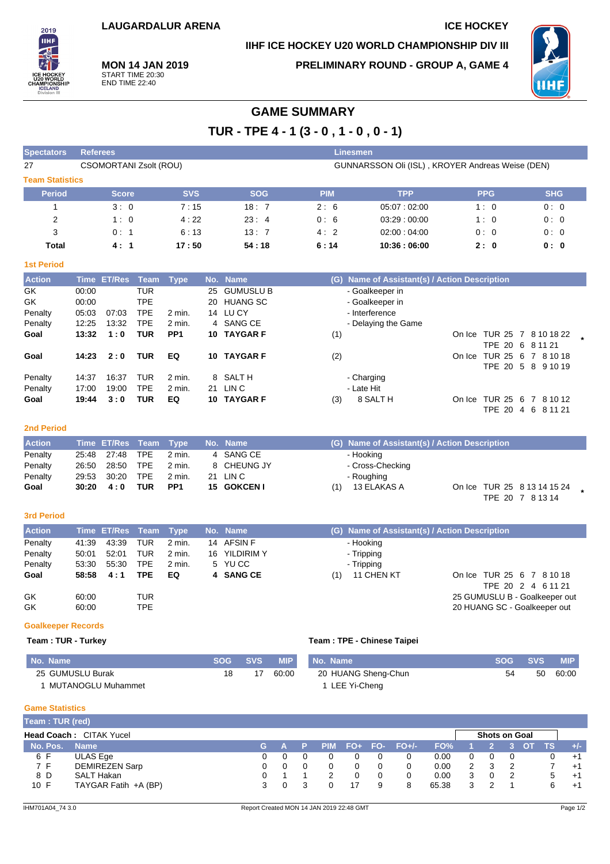# **IIHF ICE HOCKEY U20 WORLD CHAMPIONSHIP DIV III**



**MON 14 JAN 2019** START TIME 20:30 END TIME 22:40

**PRELIMINARY ROUND - GROUP A, GAME 4**



# **GAME SUMMARY**

**TUR - TPE 4 - 1 (3 - 0 , 1 - 0 , 0 - 1)**

| <b>Spectators</b>      | <b>Referees</b>               |            |            | Linesmen   |                                                  |            |            |
|------------------------|-------------------------------|------------|------------|------------|--------------------------------------------------|------------|------------|
| 27                     | <b>CSOMORTANI Zsolt (ROU)</b> |            |            |            | GUNNARSSON Oli (ISL), KROYER Andreas Weise (DEN) |            |            |
| <b>Team Statistics</b> |                               |            |            |            |                                                  |            |            |
| <b>Period</b>          | <b>Score</b>                  | <b>SVS</b> | <b>SOG</b> | <b>PIM</b> | <b>TPP</b>                                       | <b>PPG</b> | <b>SHG</b> |
|                        | 3:0                           | 7:15       | 18:7       | 2:6        | 05.07:02:00                                      | 1:0        | 0:0        |
| $\overline{2}$         | 1:0                           | 4:22       | 23:4       | 0:6        | 03.29:00.00                                      | 1:0        | 0:0        |
| 3                      | 0:1                           | 6:13       | 13:7       | 4:2        | 02:00:04:00                                      | 0:0        | 0:0        |
| Total                  | 4:1                           | 17:50      | 54:18      | 6:14       | 10:36:06:00                                      | 2:0        | 0:0        |

### **1st Period**

| <b>Action</b> |       | Time ET/Res Team |            | Type            |    | No. Name         | (G) Name of Assistant(s) / Action Description   |
|---------------|-------|------------------|------------|-----------------|----|------------------|-------------------------------------------------|
| GK            | 00:00 |                  | TUR        |                 | 25 | <b>GUMUSLU B</b> | - Goalkeeper in                                 |
| GK            | 00:00 |                  | TPE        |                 |    | 20 HUANG SC      | - Goalkeeper in                                 |
| Penalty       | 05:03 | 07:03            | TPE        | 2 min.          |    | 14 LUCY          | - Interference                                  |
| Penalty       | 12:25 | 13:32            | <b>TPE</b> | 2 min.          |    | 4 SANG CE        | - Delaying the Game                             |
| Goal          | 13:32 | 1:0              | TUR        | PP <sub>1</sub> |    | 10 TAYGAR F      | (1)<br>On Ice TUR 25 7 8 10 18 22               |
|               |       |                  |            |                 |    |                  | TPE 20 6 8 11 21                                |
| Goal          | 14:23 | 2:0              | TUR        | EQ              | 10 | <b>TAYGAR F</b>  | On Ice TUR 25 6 7 8 10 18<br>(2)                |
|               |       |                  |            |                 |    |                  | TPE 20 5 8 9 10 19                              |
| Penalty       | 14:37 | 16:37            | TUR        | 2 min.          |    | 8 SALTH          | - Charging                                      |
| Penalty       | 17:00 | 19:00            | <b>TPE</b> | 2 min.          | 21 | LIN C            | - Late Hit                                      |
| Goal          | 19:44 | 3:0              | TUR        | EQ              | 10 | <b>TAYGAR F</b>  | 8 SALT H<br>On Ice TUR 25 6<br>(3)<br>7 8 10 12 |
|               |       |                  |            |                 |    |                  | TPE 20<br>4 6 8 11 21                           |

#### **2nd Period**

| <b>Action</b> |                   |            | Time ET/Res Team Type No. Name |                   | (G) Name of Assistant(s) / Action Description                         |
|---------------|-------------------|------------|--------------------------------|-------------------|-----------------------------------------------------------------------|
| Penalty       | 25:48 27:48 TPE   |            | 2 min.                         | 4 SANG CE         | - Hooking                                                             |
| Penalty       | 26:50 28:50       | TPE        | 2 min.                         | 8 CHEUNG JY       | - Cross-Checking                                                      |
| Penalty       | 29:53 30:20       | TPE        | 2 min.                         | 21 LIN C          | - Roughing                                                            |
| Goal          | $30:20 \quad 4:0$ | <b>TUR</b> | PP1                            | <b>15 GOKCENT</b> | 13 ELAKAS A<br>On Ice TUR 25 8 13 14 15 24<br>(1)<br>TPE 20 7 8 13 14 |

#### **3rd Period**

| <b>Action</b> |       | Time ET/Res Team Type |     |        | No. Name      |                   | (G) Name of Assistant(s) / Action Description |
|---------------|-------|-----------------------|-----|--------|---------------|-------------------|-----------------------------------------------|
| Penalty       | 41:39 | 43:39                 | TUR | 2 min. | 14 AFSIN F    | - Hooking         |                                               |
| Penalty       | 50:01 | 52:01                 | TUR | 2 min. | 16 YILDIRIM Y | - Tripping        |                                               |
| Penalty       | 53:30 | 55:30                 | TPE | 2 min. | 5 YUCC        | - Tripping        |                                               |
| Goal          | 58:58 | 4:1                   | TPE | EQ     | 4 SANG CE     | 11 CHEN KT<br>(1) | On Ice TUR 25 6 7 8 10 18                     |
|               |       |                       |     |        |               |                   | TPE 20 2 4 6 11 21                            |
| GK            | 60:00 |                       | TUR |        |               |                   | 25 GUMUSLU B - Goalkeeper out                 |
| GK            | 60:00 |                       | TPE |        |               |                   | 20 HUANG SC - Goalkeeper out                  |

### **Goalkeeper Records**

### **Team : TUR - Turkey**

|  | Team: TPE - Chinese Taipei |  |
|--|----------------------------|--|
|  |                            |  |

| <b>No. Name</b>    | SOG SVS | <b>MIP</b> | No. Name            |    | SOG SVS | MIP.  |
|--------------------|---------|------------|---------------------|----|---------|-------|
| 25 GUMUSLU Burak   |         | 60:00      | 20 HUANG Sheng-Chun | 54 | 50      | 60:00 |
| MUTANOGLU Muhammet |         |            | LEE Yi-Cheng        |    |         |       |

#### **Game Statistics**

| Team: TUR (red) |                                |  |  |  |                   |       |   |                      |  |     |       |
|-----------------|--------------------------------|--|--|--|-------------------|-------|---|----------------------|--|-----|-------|
|                 | <b>Head Coach: CITAK Yucel</b> |  |  |  |                   |       |   | <b>Shots on Goal</b> |  |     |       |
| No. Pos.        | <b>Name</b>                    |  |  |  | PIM FO+ FO- FO+/- | FO%   |   |                      |  | TS. | $+/-$ |
| 6 F             | ULAS Ege                       |  |  |  |                   | 0.00  |   |                      |  |     | $+1$  |
| 7 F             | <b>DEMIREZEN Sarp</b>          |  |  |  |                   | 0.00  |   |                      |  |     | $+1$  |
| 8 D             | SALT Hakan                     |  |  |  |                   | 0.00  |   |                      |  | b.  | $+1$  |
| 10 F            | TAYGAR Fatih +A (BP)           |  |  |  | 8                 | 65.38 | 3 |                      |  | 6   | $+1$  |